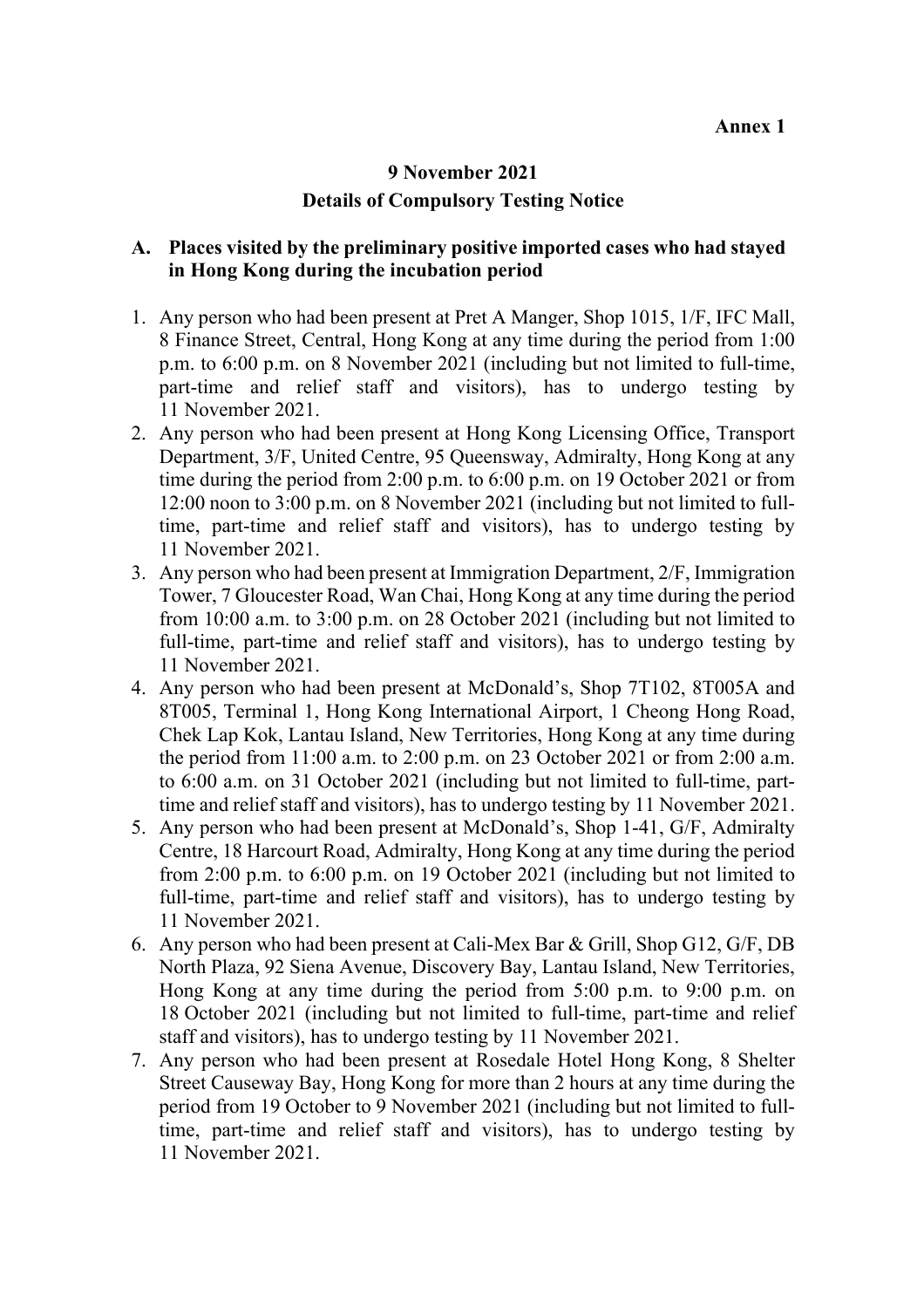## **9 November 2021 Details of Compulsory Testing Notice**

## **A. Places visited by the preliminary positive imported cases who had stayed in Hong Kong during the incubation period**

- 1. Any person who had been present at Pret A Manger, Shop 1015, 1/F, IFC Mall, 8 Finance Street, Central, Hong Kong at any time during the period from 1:00 p.m. to 6:00 p.m. on 8 November 2021 (including but not limited to full-time, part-time and relief staff and visitors), has to undergo testing by 11 November 2021.
- 2. Any person who had been present at Hong Kong Licensing Office, Transport Department, 3/F, United Centre, 95 Queensway, Admiralty, Hong Kong at any time during the period from 2:00 p.m. to 6:00 p.m. on 19 October 2021 or from 12:00 noon to 3:00 p.m. on 8 November 2021 (including but not limited to fulltime, part-time and relief staff and visitors), has to undergo testing by 11 November 2021.
- 3. Any person who had been present at Immigration Department, 2/F, Immigration Tower, 7 Gloucester Road, Wan Chai, Hong Kong at any time during the period from 10:00 a.m. to 3:00 p.m. on 28 October 2021 (including but not limited to full-time, part-time and relief staff and visitors), has to undergo testing by 11 November 2021.
- 4. Any person who had been present at McDonald's, Shop 7T102, 8T005A and 8T005, Terminal 1, Hong Kong International Airport, 1 Cheong Hong Road, Chek Lap Kok, Lantau Island, New Territories, Hong Kong at any time during the period from 11:00 a.m. to 2:00 p.m. on 23 October 2021 or from 2:00 a.m. to 6:00 a.m. on 31 October 2021 (including but not limited to full-time, parttime and relief staff and visitors), has to undergo testing by 11 November 2021.
- 5. Any person who had been present at McDonald's, Shop 1-41, G/F, Admiralty Centre, 18 Harcourt Road, Admiralty, Hong Kong at any time during the period from 2:00 p.m. to 6:00 p.m. on 19 October 2021 (including but not limited to full-time, part-time and relief staff and visitors), has to undergo testing by 11 November 2021.
- 6. Any person who had been present at Cali-Mex Bar & Grill, Shop G12, G/F, DB North Plaza, 92 Siena Avenue, Discovery Bay, Lantau Island, New Territories, Hong Kong at any time during the period from 5:00 p.m. to 9:00 p.m. on 18 October 2021 (including but not limited to full-time, part-time and relief staff and visitors), has to undergo testing by 11 November 2021.
- 7. Any person who had been present at Rosedale Hotel Hong Kong, 8 Shelter Street Causeway Bay, Hong Kong for more than 2 hours at any time during the period from 19 October to 9 November 2021 (including but not limited to fulltime, part-time and relief staff and visitors), has to undergo testing by 11 November 2021.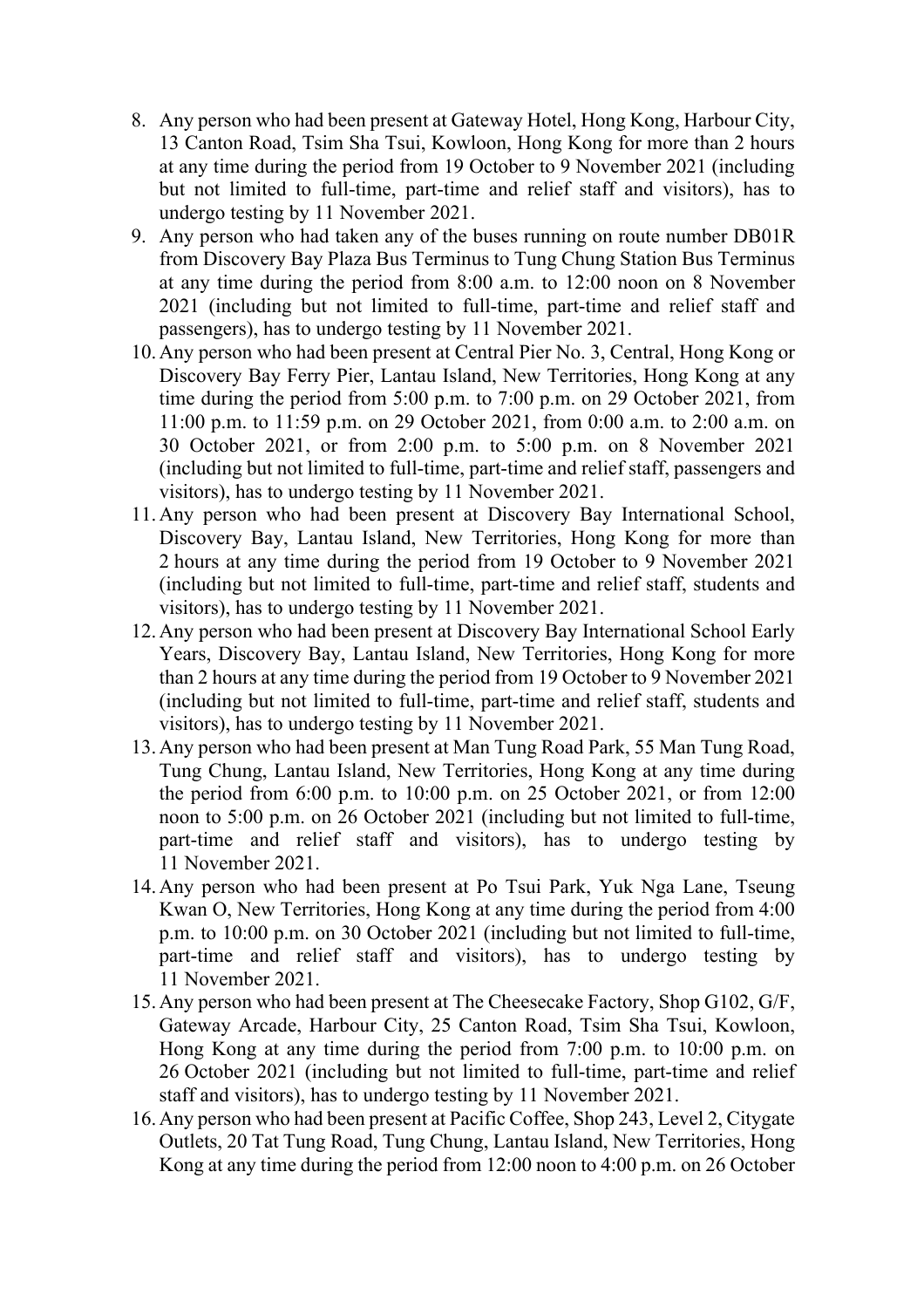- 8. Any person who had been present at Gateway Hotel, Hong Kong, Harbour City, 13 Canton Road, Tsim Sha Tsui, Kowloon, Hong Kong for more than 2 hours at any time during the period from 19 October to 9 November 2021 (including but not limited to full-time, part-time and relief staff and visitors), has to undergo testing by 11 November 2021.
- 9. Any person who had taken any of the buses running on route number DB01R from Discovery Bay Plaza Bus Terminus to Tung Chung Station Bus Terminus at any time during the period from 8:00 a.m. to 12:00 noon on 8 November 2021 (including but not limited to full-time, part-time and relief staff and passengers), has to undergo testing by 11 November 2021.
- 10.Any person who had been present at Central Pier No. 3, Central, Hong Kong or Discovery Bay Ferry Pier, Lantau Island, New Territories, Hong Kong at any time during the period from 5:00 p.m. to 7:00 p.m. on 29 October 2021, from 11:00 p.m. to 11:59 p.m. on 29 October 2021, from 0:00 a.m. to 2:00 a.m. on 30 October 2021, or from 2:00 p.m. to 5:00 p.m. on 8 November 2021 (including but not limited to full-time, part-time and relief staff, passengers and visitors), has to undergo testing by 11 November 2021.
- 11.Any person who had been present at Discovery Bay International School, Discovery Bay, Lantau Island, New Territories, Hong Kong for more than 2 hours at any time during the period from 19 October to 9 November 2021 (including but not limited to full-time, part-time and relief staff, students and visitors), has to undergo testing by 11 November 2021.
- 12.Any person who had been present at Discovery Bay International School Early Years, Discovery Bay, Lantau Island, New Territories, Hong Kong for more than 2 hours at any time during the period from 19 October to 9 November 2021 (including but not limited to full-time, part-time and relief staff, students and visitors), has to undergo testing by 11 November 2021.
- 13.Any person who had been present at Man Tung Road Park, 55 Man Tung Road, Tung Chung, Lantau Island, New Territories, Hong Kong at any time during the period from 6:00 p.m. to 10:00 p.m. on 25 October 2021, or from 12:00 noon to 5:00 p.m. on 26 October 2021 (including but not limited to full-time, part-time and relief staff and visitors), has to undergo testing by 11 November 2021.
- 14.Any person who had been present at Po Tsui Park, Yuk Nga Lane, Tseung Kwan O, New Territories, Hong Kong at any time during the period from 4:00 p.m. to 10:00 p.m. on 30 October 2021 (including but not limited to full-time, part-time and relief staff and visitors), has to undergo testing by 11 November 2021.
- 15.Any person who had been present at The Cheesecake Factory, Shop G102, G/F, Gateway Arcade, Harbour City, 25 Canton Road, Tsim Sha Tsui, Kowloon, Hong Kong at any time during the period from 7:00 p.m. to 10:00 p.m. on 26 October 2021 (including but not limited to full-time, part-time and relief staff and visitors), has to undergo testing by 11 November 2021.
- 16.Any person who had been present at Pacific Coffee, Shop 243, Level 2, Citygate Outlets, 20 Tat Tung Road, Tung Chung, Lantau Island, New Territories, Hong Kong at any time during the period from 12:00 noon to 4:00 p.m. on 26 October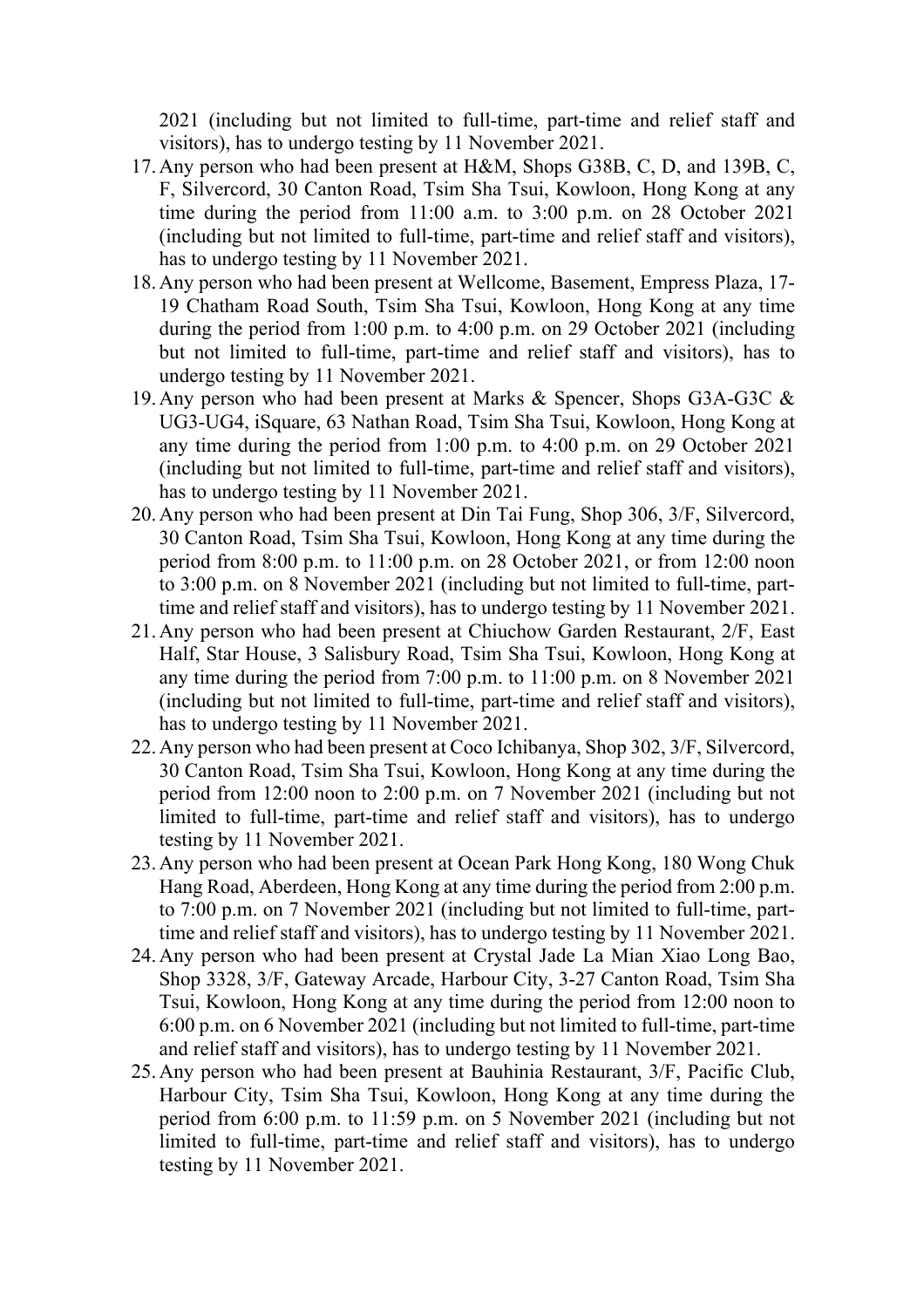2021 (including but not limited to full-time, part-time and relief staff and visitors), has to undergo testing by 11 November 2021.

- 17.Any person who had been present at H&M, Shops G38B, C, D, and 139B, C, F, Silvercord, 30 Canton Road, Tsim Sha Tsui, Kowloon, Hong Kong at any time during the period from 11:00 a.m. to 3:00 p.m. on 28 October 2021 (including but not limited to full-time, part-time and relief staff and visitors), has to undergo testing by 11 November 2021.
- 18.Any person who had been present at Wellcome, Basement, Empress Plaza, 17- 19 Chatham Road South, Tsim Sha Tsui, Kowloon, Hong Kong at any time during the period from 1:00 p.m. to 4:00 p.m. on 29 October 2021 (including but not limited to full-time, part-time and relief staff and visitors), has to undergo testing by 11 November 2021.
- 19.Any person who had been present at Marks & Spencer, Shops G3A-G3C & UG3-UG4, iSquare, 63 Nathan Road, Tsim Sha Tsui, Kowloon, Hong Kong at any time during the period from 1:00 p.m. to 4:00 p.m. on 29 October 2021 (including but not limited to full-time, part-time and relief staff and visitors), has to undergo testing by 11 November 2021.
- 20.Any person who had been present at Din Tai Fung, Shop 306, 3/F, Silvercord, 30 Canton Road, Tsim Sha Tsui, Kowloon, Hong Kong at any time during the period from 8:00 p.m. to 11:00 p.m. on 28 October 2021, or from 12:00 noon to 3:00 p.m. on 8 November 2021 (including but not limited to full-time, parttime and relief staff and visitors), has to undergo testing by 11 November 2021.
- 21.Any person who had been present at Chiuchow Garden Restaurant, 2/F, East Half, Star House, 3 Salisbury Road, Tsim Sha Tsui, Kowloon, Hong Kong at any time during the period from 7:00 p.m. to 11:00 p.m. on 8 November 2021 (including but not limited to full-time, part-time and relief staff and visitors), has to undergo testing by 11 November 2021.
- 22.Any person who had been present at Coco Ichibanya, Shop 302, 3/F, Silvercord, 30 Canton Road, Tsim Sha Tsui, Kowloon, Hong Kong at any time during the period from 12:00 noon to 2:00 p.m. on 7 November 2021 (including but not limited to full-time, part-time and relief staff and visitors), has to undergo testing by 11 November 2021.
- 23.Any person who had been present at Ocean Park Hong Kong, 180 Wong Chuk Hang Road, Aberdeen, Hong Kong at any time during the period from 2:00 p.m. to 7:00 p.m. on 7 November 2021 (including but not limited to full-time, parttime and relief staff and visitors), has to undergo testing by 11 November 2021.
- 24.Any person who had been present at Crystal Jade La Mian Xiao Long Bao, Shop 3328, 3/F, Gateway Arcade, Harbour City, 3-27 Canton Road, Tsim Sha Tsui, Kowloon, Hong Kong at any time during the period from 12:00 noon to 6:00 p.m. on 6 November 2021 (including but not limited to full-time, part-time and relief staff and visitors), has to undergo testing by 11 November 2021.
- 25.Any person who had been present at Bauhinia Restaurant, 3/F, Pacific Club, Harbour City, Tsim Sha Tsui, Kowloon, Hong Kong at any time during the period from 6:00 p.m. to 11:59 p.m. on 5 November 2021 (including but not limited to full-time, part-time and relief staff and visitors), has to undergo testing by 11 November 2021.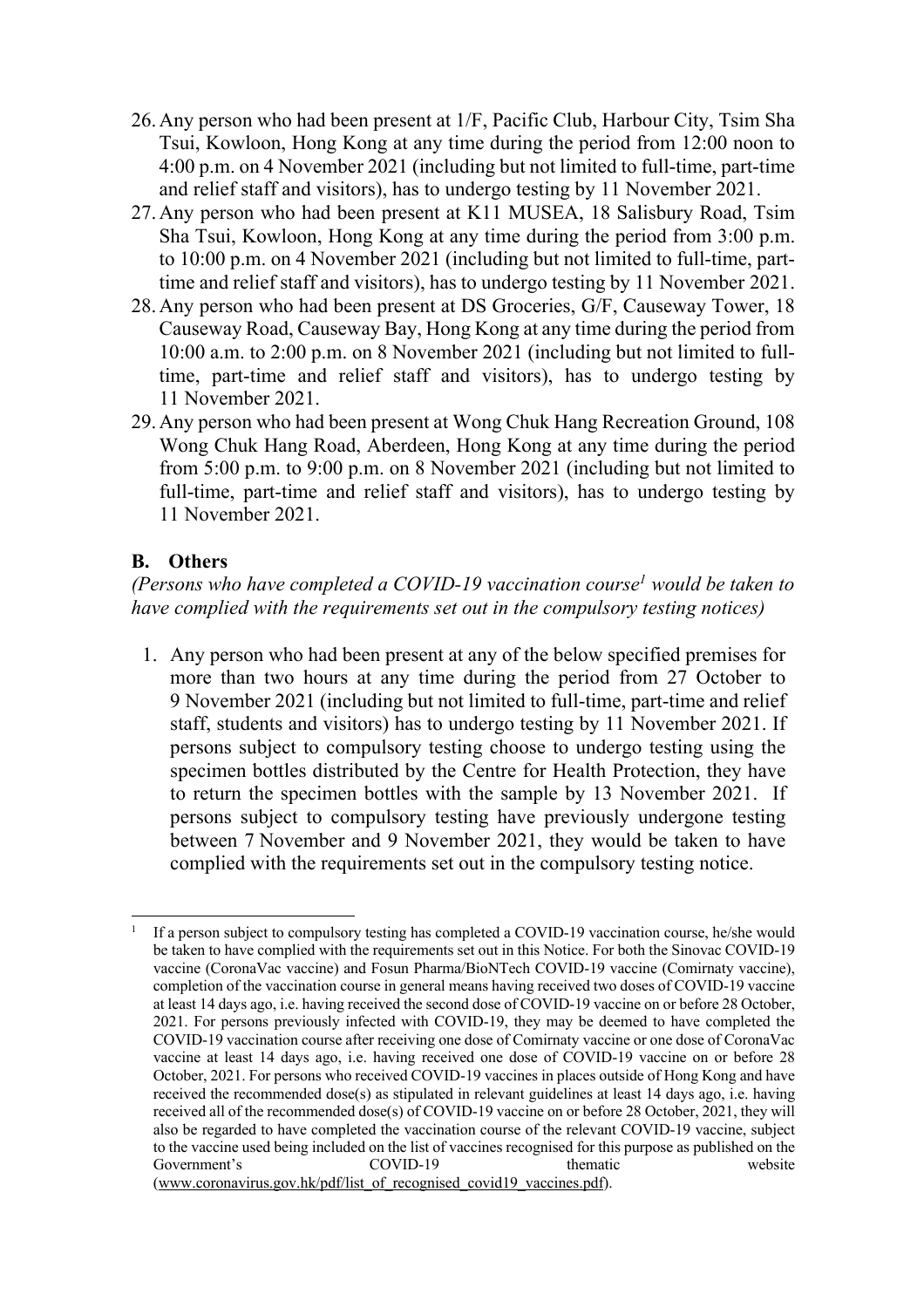- 26.Any person who had been present at 1/F, Pacific Club, Harbour City, Tsim Sha Tsui, Kowloon, Hong Kong at any time during the period from 12:00 noon to 4:00 p.m. on 4 November 2021 (including but not limited to full-time, part-time and relief staff and visitors), has to undergo testing by 11 November 2021.
- 27.Any person who had been present at K11 MUSEA, 18 Salisbury Road, Tsim Sha Tsui, Kowloon, Hong Kong at any time during the period from 3:00 p.m. to 10:00 p.m. on 4 November 2021 (including but not limited to full-time, parttime and relief staff and visitors), has to undergo testing by 11 November  $2021$ .
- 28.Any person who had been present at DS Groceries, G/F, Causeway Tower, 18 Causeway Road, Causeway Bay, Hong Kong at any time during the period from 10:00 a.m. to 2:00 p.m. on 8 November 2021 (including but not limited to fulltime, part-time and relief staff and visitors), has to undergo testing by 11 November 2021.
- 29.Any person who had been present at Wong Chuk Hang Recreation Ground, 108 Wong Chuk Hang Road, Aberdeen, Hong Kong at any time during the period from 5:00 p.m. to 9:00 p.m. on 8 November 2021 (including but not limited to full-time, part-time and relief staff and visitors), has to undergo testing by 11 November 2021.

## **B. Others**

*(Persons who have completed a COVID-19 vaccination course1 would be taken to have complied with the requirements set out in the compulsory testing notices)*

1. Any person who had been present at any of the below specified premises for more than two hours at any time during the period from 27 October to 9 November 2021 (including but not limited to full-time, part-time and relief staff, students and visitors) has to undergo testing by 11 November 2021. If persons subject to compulsory testing choose to undergo testing using the specimen bottles distributed by the Centre for Health Protection, they have to return the specimen bottles with the sample by 13 November 2021. If persons subject to compulsory testing have previously undergone testing between 7 November and 9 November 2021, they would be taken to have complied with the requirements set out in the compulsory testing notice.

<sup>1</sup> If a person subject to compulsory testing has completed a COVID-19 vaccination course, he/she would be taken to have complied with the requirements set out in this Notice. For both the Sinovac COVID-19 vaccine (CoronaVac vaccine) and Fosun Pharma/BioNTech COVID-19 vaccine (Comirnaty vaccine), completion of the vaccination course in general means having received two doses of COVID-19 vaccine at least 14 days ago, i.e. having received the second dose of COVID-19 vaccine on or before 28 October, 2021. For persons previously infected with COVID-19, they may be deemed to have completed the COVID-19 vaccination course after receiving one dose of Comirnaty vaccine or one dose of CoronaVac vaccine at least 14 days ago, i.e. having received one dose of COVID-19 vaccine on or before 28 October, 2021. For persons who received COVID-19 vaccines in places outside of Hong Kong and have received the recommended dose(s) as stipulated in relevant guidelines at least 14 days ago, i.e. having received all of the recommended dose(s) of COVID-19 vaccine on or before 28 October, 2021, they will also be regarded to have completed the vaccination course of the relevant COVID-19 vaccine, subject to the vaccine used being included on the list of vaccines recognised for this purpose as published on the Government's covid COVID-19 Government's COVID-19 thematic website (www.coronavirus.gov.hk/pdf/list\_of\_recognised\_covid19\_vaccines.pdf).